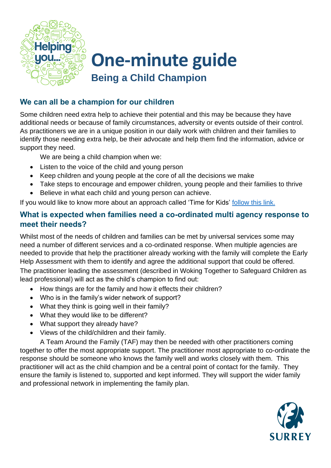

## **One-minute guide Being a Child Champion**

## **We can all be a champion for our children**

Some children need extra help to achieve their potential and this may be because they have additional needs or because of family circumstances, adversity or events outside of their control. As practitioners we are in a unique position in our daily work with children and their families to identify those needing extra help, be their advocate and help them find the information, advice or support they need.

We are being a child champion when we:

- Listen to the voice of the child and young person
- Keep children and young people at the core of all the decisions we make
- Take steps to encourage and empower children, young people and their families to thrive
- Believe in what each child and young person can achieve.

If you would like to know more about an approach called 'Time for Kids' [follow this link.](https://www.surreyyouthfocus.org.uk/news/time-kids#:~:text=Time%20for%20Kids%20is%20a,with%20children%20and%20young%20people.)

## **What is expected when families need a co-ordinated multi agency response to meet their needs?**

Whilst most of the needs of children and families can be met by universal services some may need a number of different services and a co-ordinated response. When multiple agencies are needed to provide that help the practitioner already working with the family will complete the Early Help Assessment with them to identify and agree the additional support that could be offered. The practitioner leading the assessment (described in Woking Together to Safeguard Children as lead professional) will act as the child's champion to find out:

- How things are for the family and how it effects their children?
- Who is in the family's wider network of support?
- What they think is going well in their family?
- What they would like to be different?
- What support they already have?
- Views of the child/children and their family.

A Team Around the Family (TAF) may then be needed with other practitioners coming together to offer the most appropriate support. The practitioner most appropriate to co-ordinate the response should be someone who knows the family well and works closely with them. This practitioner will act as the child champion and be a central point of contact for the family. They ensure the family is listened to, supported and kept informed. They will support the wider family and professional network in implementing the family plan.